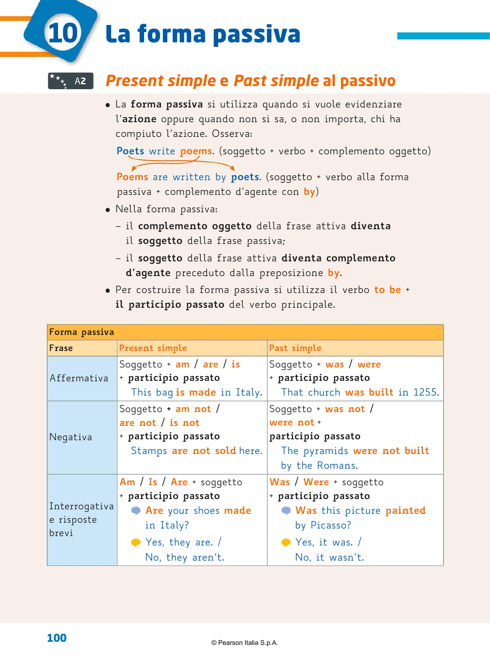# La forma passiva **10**

## U**12** *Present simple* **e** *Past simple* **al passivo** A**2**

� La **forma passiva** si utilizza quando si vuole evidenziare l'**azione** oppure quando non si sa, o non importa, chi ha compiuto l'azione. Osserva:

**Poets** write **poems**. (soggetto + verbo + complemento oggetto)

**Poems** are written by **poets**. (soggetto + verbo alla forma passiva + complemento d'agente con **by**)

- � Nella forma passiva:
	- il **complemento oggetto** della frase attiva **diventa** il **soggetto** della frase passiva;
	- il **soggetto** della frase attiva **diventa complemento d'agente** preceduto dalla preposizione **by**.
- � Per costruire la forma passiva si utilizza il verbo **to be** + **il participio passato** del verbo principale.

| Forma passiva                        |                                                                                                                                          |                                                                                                                                        |
|--------------------------------------|------------------------------------------------------------------------------------------------------------------------------------------|----------------------------------------------------------------------------------------------------------------------------------------|
| Frase                                | Present simple                                                                                                                           | Past simple                                                                                                                            |
| Affermativa                          | Soggetto $+$ am / are / is<br>+ participio passato<br>This bag is made in Italy.                                                         | Soggetto + was / were<br>+ participio passato<br>That church was built in 1255.                                                        |
| Negativa                             | Soggetto $+$ am not /<br>are not $/$ is not<br>+ participio passato<br>Stamps are not sold here.                                         | Soggetto + $was not/$<br>were not +<br>participio passato<br>The pyramids were not built<br>by the Romans.                             |
| Interrogativa<br>e risposte<br>brevi | $Am / Is / Are + soggetto$<br>+ participio passato<br>Are your shoes made<br>in Italy?<br>$\bullet$ Yes, they are. /<br>No, they aren't. | Was / Were + soggetto<br>+ participio passato<br>Was this picture painted<br>by Picasso?<br>$\bullet$ Yes, it was. /<br>No, it wasn't. |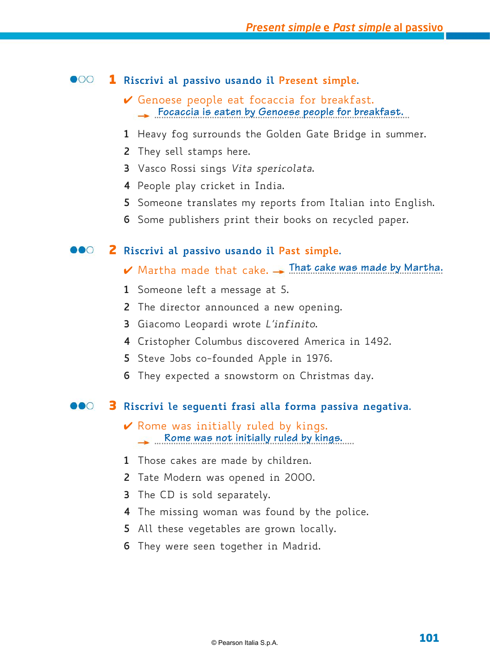#### $\bullet$ 00 **Riscrivi al passivo usando il Present simple.**

- $\vee$  Genoese people eat focaccia for breakfast. …................................................….…................................................ **Focaccia is eaten by Genoese people for breakfast.**
- Heavy fog surrounds the Golden Gate Bridge in summer.
- They sell stamps here.
- Vasco Rossi sings *Vita spericolata*.
- People play cricket in India.
- Someone translates my reports from Italian into English.
- Some publishers print their books on recycled paper.

#### DOO **Riscrivi al passivo usando il Past simple.**

- $\blacktriangledown$  Martha made that cake.  $\rightarrow$  That cake was made by Martha.
- Someone left a message at 5.
- The director announced a new opening.
- Giacomo Leopardi wrote *L'infinito*.
- Cristopher Columbus discovered America in 1492.
- Steve Jobs co-founded Apple in 1976.
- They expected a snowstorm on Christmas day.

#### DOO **Riscrivi le seguenti frasi alla forma passiva negativa.**

- $\vee$  Rome was initially ruled by kings. …................................................….…......................... **Rome was not initially ruled by kings.**
- Those cakes are made by children.
- Tate Modern was opened in 2000.
- The CD is sold separately.
- The missing woman was found by the police.
- All these vegetables are grown locally.
- They were seen together in Madrid.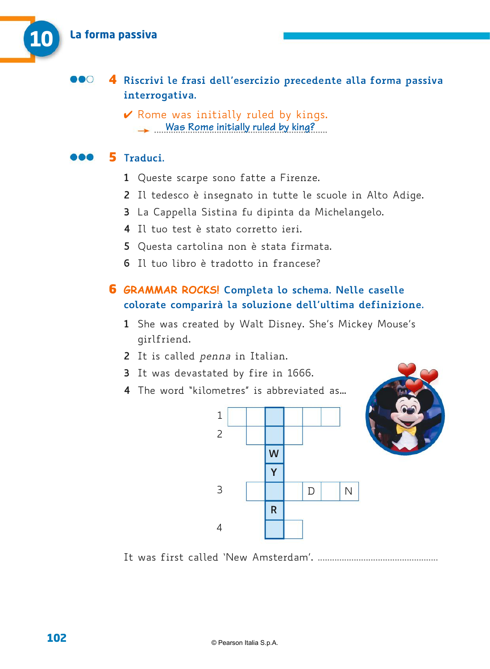#### **Riscrivi le frasi dell'esercizio precedente alla forma passiva interrogativa.**

 $\vee$  Rome was initially ruled by kings. ........................................................................ **Was Rome initially ruled by king?**

#### DOO **Traduci.**

- Queste scarpe sono fatte a Firenze.
- Il tedesco è insegnato in tutte le scuole in Alto Adige.
- La Cappella Sistina fu dipinta da Michelangelo.
- Il tuo test è stato corretto ieri.
- Questa cartolina non è stata firmata.
- Il tuo libro è tradotto in francese?

## **GRAMMAR ROCKS! Completa lo schema. Nelle caselle colorate comparirà la soluzione dell'ultima definizione.**

- She was created by Walt Disney. She's Mickey Mouse's girlfriend.
- It is called *penna* in Italian.
- It was devastated by fire in 1666.
- The word "kilometres" is abbreviated as…



It was first called 'New Amsterdam'. ..................................................